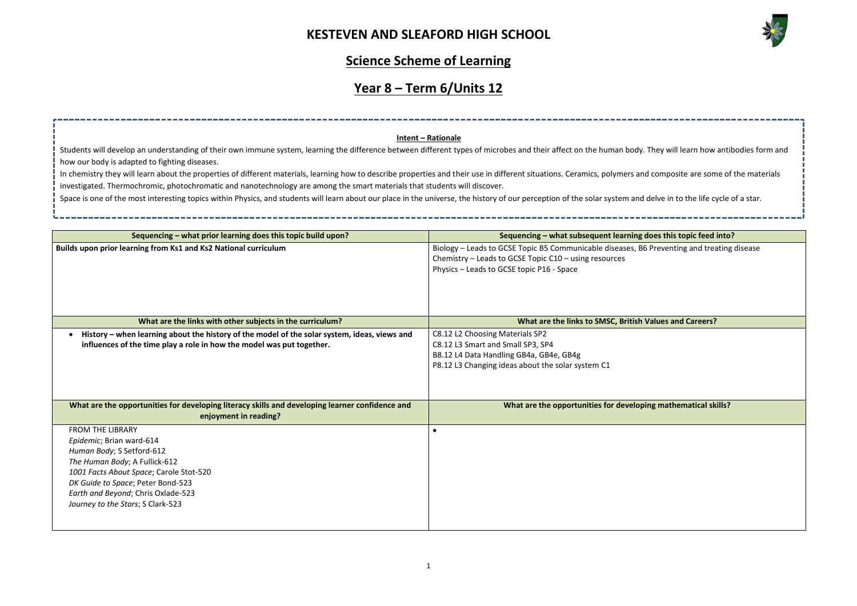

| They will learn how antibodies form and |
|-----------------------------------------|
| composite are some of the materials     |
| delve in to the life cycle of a star.   |
|                                         |
| loes this topic feed into?              |
| Preventing and treating disease         |
|                                         |
|                                         |
|                                         |
|                                         |
|                                         |
|                                         |
| <b>Jalues and Careers?</b>              |
|                                         |
|                                         |
|                                         |
|                                         |
|                                         |
|                                         |
| ng mathematical skills?                 |
|                                         |
|                                         |
|                                         |
|                                         |
|                                         |
|                                         |
|                                         |
|                                         |
|                                         |

## **Science Scheme of Learning**

# **Year 8 – Term 6/Units 12**

| Sequencing – what prior learning does this topic build upon?                                                             | Sequencing – what subsequent learning does this topic feed into?                                                                                    |
|--------------------------------------------------------------------------------------------------------------------------|-----------------------------------------------------------------------------------------------------------------------------------------------------|
| Builds upon prior learning from Ks1 and Ks2 National curriculum                                                          | Biology - Leads to GCSE Topic B5 Communicable diseases, B6 Preventing and treating disease<br>Chemistry - Leads to GCSE Topic C10 - using resources |
|                                                                                                                          | Physics - Leads to GCSE topic P16 - Space                                                                                                           |
|                                                                                                                          |                                                                                                                                                     |
| What are the links with other subjects in the curriculum?                                                                | What are the links to SMSC, British Values and Careers?                                                                                             |
| History - when learning about the history of the model of the solar system, ideas, views and                             | C8.12 L2 Choosing Materials SP2                                                                                                                     |
| influences of the time play a role in how the model was put together.                                                    | C8.12 L3 Smart and Small SP3, SP4                                                                                                                   |
|                                                                                                                          | B8.12 L4 Data Handling GB4a, GB4e, GB4g                                                                                                             |
|                                                                                                                          | P8.12 L3 Changing ideas about the solar system C1                                                                                                   |
|                                                                                                                          |                                                                                                                                                     |
| What are the opportunities for developing literacy skills and developing learner confidence and<br>enjoyment in reading? | What are the opportunities for developing mathematical skills?                                                                                      |
| <b>FROM THE LIBRARY</b>                                                                                                  | $\bullet$                                                                                                                                           |
| Epidemic; Brian ward-614                                                                                                 |                                                                                                                                                     |
| Human Body; S Setford-612                                                                                                |                                                                                                                                                     |
| The Human Body; A Fullick-612                                                                                            |                                                                                                                                                     |
| 1001 Facts About Space; Carole Stot-520                                                                                  |                                                                                                                                                     |
| DK Guide to Space; Peter Bond-523                                                                                        |                                                                                                                                                     |
| Earth and Beyond; Chris Oxlade-523                                                                                       |                                                                                                                                                     |
| Journey to the Stars; S Clark-523                                                                                        |                                                                                                                                                     |
|                                                                                                                          |                                                                                                                                                     |
|                                                                                                                          |                                                                                                                                                     |

In chemistry they will learn about the properties of different materials, learning how to describe properties and their use in different situations. Ceramics, polymers and investigated. Thermochromic, photochromatic and nanotechnology are among the smart materials that students will discover.

Space is one of the most interesting topics within Physics, and students will learn about our place in the universe, the history of our perception of the solar system and d

**Intent – Rationale** Students will develop an understanding of their own immune system, learning the difference between different types of microbes and their affect on the human body. how our body is adapted to fighting diseases.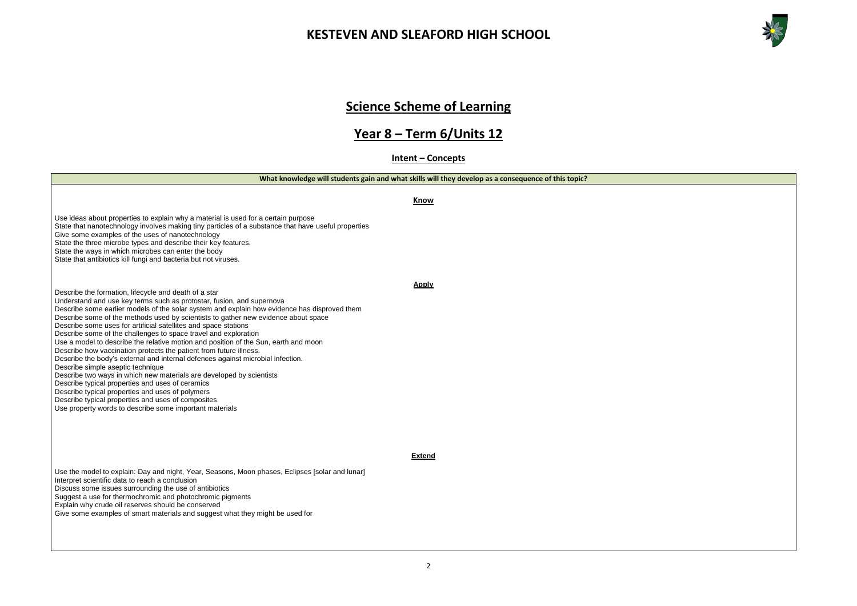



### **Science Scheme of Learning**

### **Year 8 – Term 6/Units 12**

#### **Intent – Concepts**

**What knowledge will students gain and what skills will they develop as a consequence of this topic? Know** Use ideas about properties to explain why a material is used for a certain purpose State that nanotechnology involves making tiny particles of a substance that have useful properties Give some examples of the uses of nanotechnology State the three microbe types and describe their key features. State the ways in which microbes can enter the body State that antibiotics kill fungi and bacteria but not viruses. **Apply** Describe the formation, lifecycle and death of a star Understand and use key terms such as protostar, fusion, and supernova Describe some earlier models of the solar system and explain how evidence has disproved them Describe some of the methods used by scientists to gather new evidence about space Describe some uses for artificial satellites and space stations Describe some of the challenges to space travel and exploration Use a model to describe the relative motion and position of the Sun, earth and moon Describe how vaccination protects the patient from future illness. Describe the body's external and internal defences against microbial infection. Describe simple aseptic technique Describe two ways in which new materials are developed by scientists Describe typical properties and uses of ceramics Describe typical properties and uses of polymers Describe typical properties and uses of composites Use property words to describe some important materials **Extend** Use the model to explain: Day and night, Year, Seasons, Moon phases, Eclipses [solar and lunar] Interpret scientific data to reach a conclusion Discuss some issues surrounding the use of antibiotics Suggest a use for thermochromic and photochromic pigments Explain why crude oil reserves should be conserved Give some examples of smart materials and suggest what they might be used for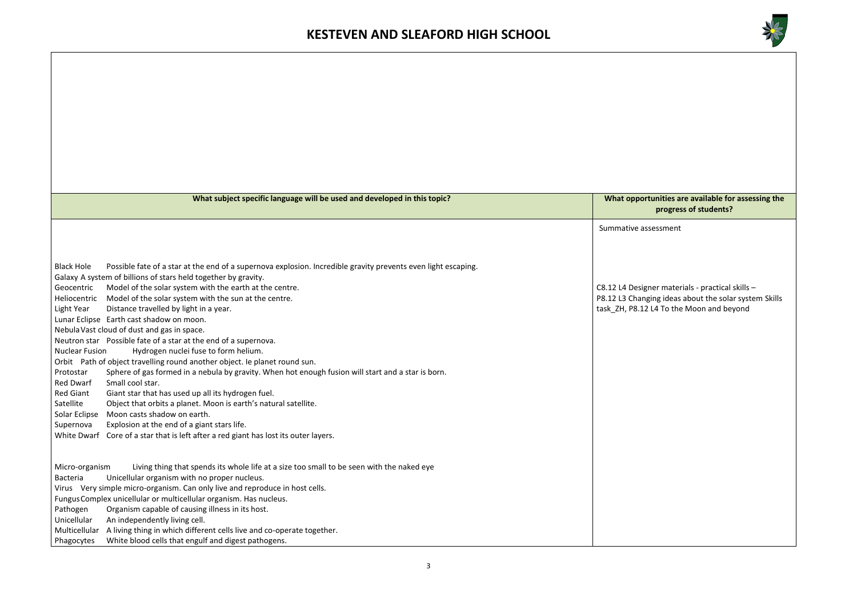

### **Rhath indust in belope in the subse** in this this this this this top in the state in this top in the state for a **progress of students?**

sessment

 $\mathfrak g$ ner materials - practical skills – ,<br>ging ideas about the solar system Skills 2 L4 To the Moon and beyond

| What subject specific language will be used and developed in this topic?                                                           | <b>What opport</b> |
|------------------------------------------------------------------------------------------------------------------------------------|--------------------|
|                                                                                                                                    | Summative as:      |
|                                                                                                                                    |                    |
|                                                                                                                                    |                    |
| <b>Black Hole</b><br>Possible fate of a star at the end of a supernova explosion. Incredible gravity prevents even light escaping. |                    |
| Galaxy A system of billions of stars held together by gravity.                                                                     |                    |
| Geocentric<br>Model of the solar system with the earth at the centre.                                                              | C8.12 L4 Design    |
| Model of the solar system with the sun at the centre.<br>Heliocentric                                                              | P8.12 L3 Chang     |
| Light Year<br>Distance travelled by light in a year.                                                                               | task ZH, P8.12     |
| Lunar Eclipse Earth cast shadow on moon.                                                                                           |                    |
| Nebula Vast cloud of dust and gas in space.                                                                                        |                    |
| Neutron star Possible fate of a star at the end of a supernova.                                                                    |                    |
| Hydrogen nuclei fuse to form helium.<br><b>Nuclear Fusion</b>                                                                      |                    |
| Orbit Path of object travelling round another object. Ie planet round sun.                                                         |                    |
| Sphere of gas formed in a nebula by gravity. When hot enough fusion will start and a star is born.<br>Protostar                    |                    |
| Red Dwarf<br>Small cool star.                                                                                                      |                    |
| <b>Red Giant</b><br>Giant star that has used up all its hydrogen fuel.<br>Satellite                                                |                    |
| Object that orbits a planet. Moon is earth's natural satellite.<br>Solar Eclipse Moon casts shadow on earth.                       |                    |
| Supernova<br>Explosion at the end of a giant stars life.                                                                           |                    |
| White Dwarf Core of a star that is left after a red giant has lost its outer layers.                                               |                    |
|                                                                                                                                    |                    |
| Micro-organism<br>Living thing that spends its whole life at a size too small to be seen with the naked eye                        |                    |
| Unicellular organism with no proper nucleus.<br><b>Bacteria</b>                                                                    |                    |
| Virus Very simple micro-organism. Can only live and reproduce in host cells.                                                       |                    |
| Fungus Complex unicellular or multicellular organism. Has nucleus.                                                                 |                    |
| Pathogen<br>Organism capable of causing illness in its host.                                                                       |                    |
| Unicellular<br>An independently living cell.                                                                                       |                    |
| Multicellular A living thing in which different cells live and co-operate together.                                                |                    |
| White blood cells that engulf and digest pathogens.<br>Phagocytes                                                                  |                    |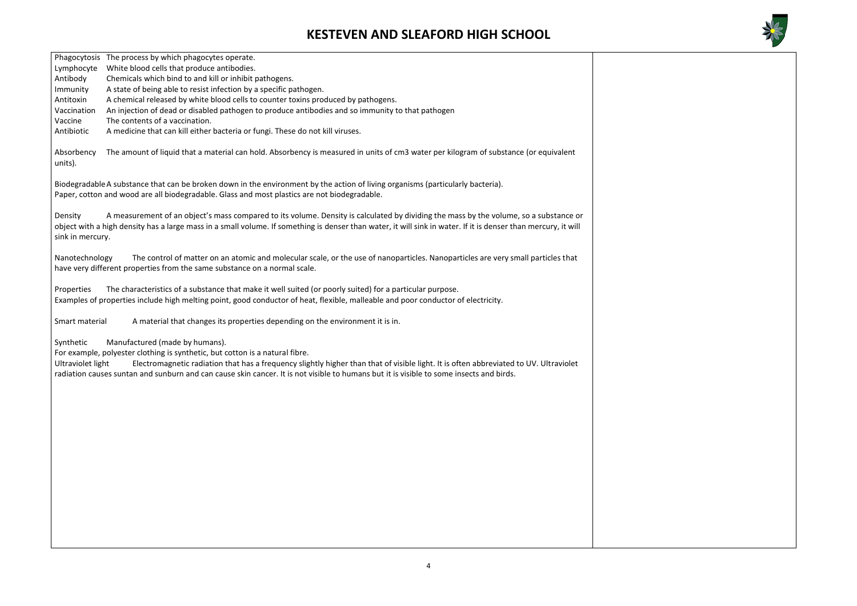Phagocytosis The process by which phagocytes operate. Lymphocyte White blood cells that produce antibodies. Antibody Chemicals which bind to and kill or inhibit pathogens. Immunity A state of being able to resist infection by a specific pathogen. Antitoxin A chemical released by white blood cells to counter toxins produced by pathogens. Vaccination An injection of dead or disabled pathogen to produce antibodies and so immunity to that pathogen Vaccine The contents of a vaccination. Antibiotic A medicine that can kill either bacteria or fungi. These do not kill viruses. Absorbency The amount of liquid that a material can hold. Absorbency is measured in units of cm3 water per kilogram of substance (or equivalent units). BiodegradableA substance that can be broken down in the environment by the action of living organisms (particularly bacteria). Paper, cotton and wood are all biodegradable. Glass and most plastics are not biodegradable. Density A measurement of an object's mass compared to its volume. Density is calculated by dividing the mass by the volume, so a substance or object with a high density has a large mass in a small volume. If something is denser than water, it will sink in water. If it is denser than mercury, it will sink in mercury. Nanotechnology The control of matter on an atomic and molecular scale, or the use of nanoparticles. Nanoparticles are very small particles that have very different properties from the same substance on a normal scale. Properties The characteristics of a substance that make it well suited (or poorly suited) for a particular purpose. Examples of properties include high melting point, good conductor of heat, flexible, malleable and poor conductor of electricity. Smart material A material that changes its properties depending on the environment it is in.



Synthetic Manufactured (made by humans).

For example, polyester clothing is synthetic, but cotton is a natural fibre.

Ultraviolet light Electromagnetic radiation that has a frequency slightly higher than that of visible light. It is often abbreviated to UV. Ultraviolet radiation causes suntan and sunburn and can cause skin cancer. It is not visible to humans but it is visible to some insects and birds.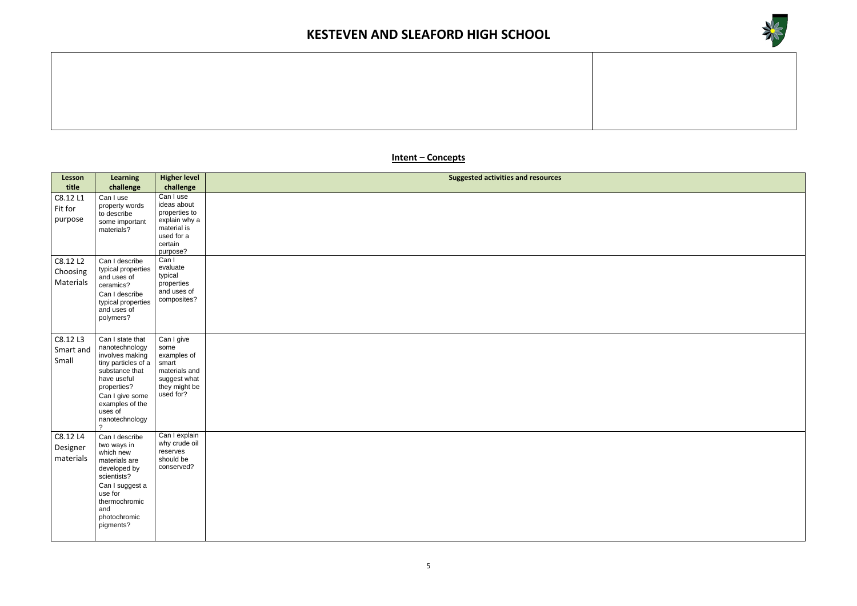

### **Intent – Concepts**

| <b>Lesson</b><br>title            | <b>Learning</b><br>challenge                                                                                                                                                                                   | <b>Higher level</b><br>challenge                                                                               | <b>Suggested activities and resources</b> |
|-----------------------------------|----------------------------------------------------------------------------------------------------------------------------------------------------------------------------------------------------------------|----------------------------------------------------------------------------------------------------------------|-------------------------------------------|
| C8.12 L1<br>Fit for<br>purpose    | Can I use<br>property words<br>to describe<br>some important<br>materials?                                                                                                                                     | Can I use<br>ideas about<br>properties to<br>explain why a<br>material is<br>used for a<br>certain<br>purpose? |                                           |
| C8.12 L2<br>Choosing<br>Materials | Can I describe<br>typical properties<br>and uses of<br>ceramics?<br>Can I describe<br>typical properties<br>and uses of<br>polymers?                                                                           | Can I<br>evaluate<br>typical<br>properties<br>and uses of<br>composites?                                       |                                           |
| C8.12 L3<br>Smart and<br>Small    | Can I state that<br>nanotechnology<br>involves making<br>tiny particles of a<br>substance that<br>have useful<br>properties?<br>Can I give some<br>examples of the<br>uses of<br>nanotechnology<br>$\tilde{?}$ | Can I give<br>some<br>examples of<br>smart<br>materials and<br>suggest what<br>they might be<br>used for?      |                                           |
| C8.12 L4<br>Designer<br>materials | Can I describe<br>two ways in<br>which new<br>materials are<br>developed by<br>scientists?<br>Can I suggest a<br>use for<br>thermochromic<br>and<br>photochromic<br>pigments?                                  | Can I explain<br>why crude oil<br>reserves<br>should be<br>conserved?                                          |                                           |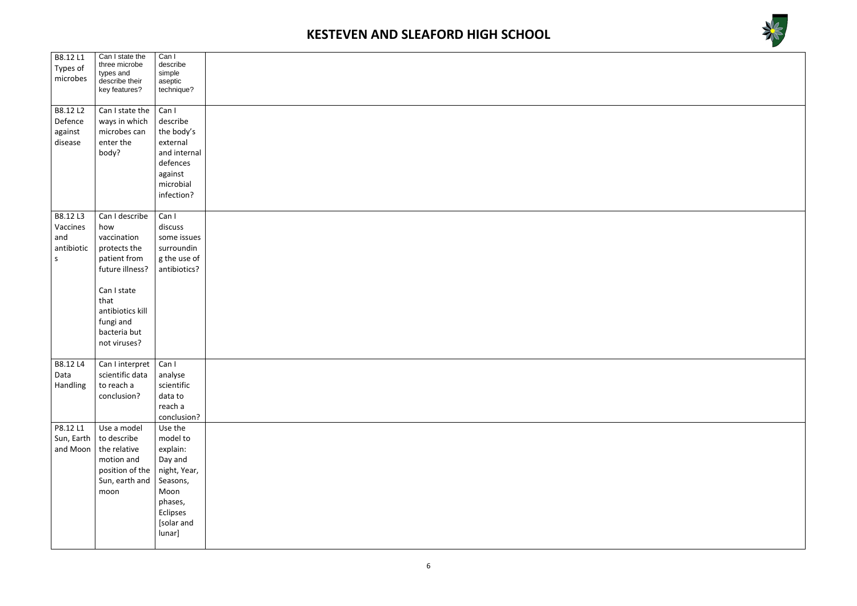



| B8.12L1<br>Types of<br>microbes                     | Can I state the<br>three microbe<br>types and<br>describe their<br>key features?                                                                                                | Can I<br>describe<br>simple<br>aseptic<br>technique?                                                                          |  |
|-----------------------------------------------------|---------------------------------------------------------------------------------------------------------------------------------------------------------------------------------|-------------------------------------------------------------------------------------------------------------------------------|--|
| B8.12 L2<br>Defence<br>against<br>disease           | Can I state the<br>ways in which<br>microbes can<br>enter the<br>body?                                                                                                          | Can I<br>describe<br>the body's<br>external<br>and internal<br>defences<br>against<br>microbial<br>infection?                 |  |
| B8.12L3<br>Vaccines<br>and<br>antibiotic<br>$\sf S$ | Can I describe<br>how<br>vaccination<br>protects the<br>patient from<br>future illness?<br>Can I state<br>that<br>antibiotics kill<br>fungi and<br>bacteria but<br>not viruses? | Can I<br>discuss<br>some issues<br>surroundin<br>g the use of<br>antibiotics?                                                 |  |
| B8.12 L4<br>Data<br>Handling                        | Can I interpret<br>scientific data<br>to reach a<br>conclusion?                                                                                                                 | Can I<br>analyse<br>scientific<br>data to<br>reach a<br>conclusion?                                                           |  |
| P8.12 L1<br>Sun, Earth<br>and Moon                  | Use a model<br>to describe<br>the relative<br>motion and<br>position of the<br>Sun, earth and<br>moon                                                                           | Use the<br>model to<br>explain:<br>Day and<br>night, Year,<br>Seasons,<br>Moon<br>phases,<br>Eclipses<br>[solar and<br>lunar] |  |